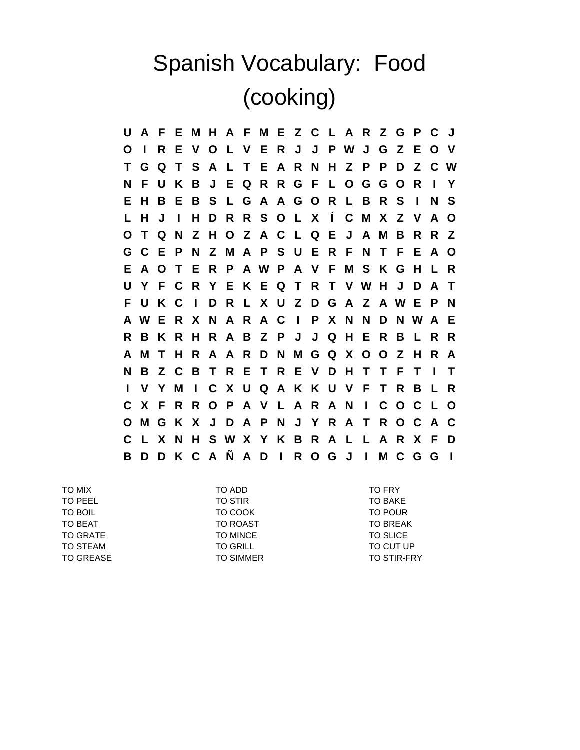## Spanish Vocabulary: Food (cooking)

**U A F E M H A F M E Z C L A R Z G P C J O I R E V O L V E R J J P W J G Z E O V T G Q T S A L T E A R N H Z P P D Z C W N F U K B J E Q R R G F L O G G O R I Y E H B E B S L G A A G O R L B R S I N S L H J I H D R R S O L X Í C M X Z V A O O T Q N Z H O Z A C L Q E J A M B R R Z G C E P N Z M A P S U E R F N T F E A O E A O T E R P A W P A V F M S K G H L R U Y F C R Y E K E Q T R T V W H J D A T F U K C I D R L X U Z D G A Z A W E P N A W E R X N A R A C I P X N N D N W A E R B K R H R A B Z P J J Q H E R B L R R A M T H R A A R D N M G Q X O O Z H R A N B Z C B T R E T R E V D H T T F T I T I V Y M I C X U Q A K K U V F T R B L R C X F R R O P A V L A R A N I C O C L O O M G K X J D A P N J Y R A T R O C A C C L X N H S W X Y K B R A L L A R X F D B D D K C A Ñ A D I R O G J I M C G G I**

TO MIX TO ADD TO FRY TO PEEL TO STIR TO BAKE TO STIR TO BAKE TO BOIL **TO COOK TO COOK** TO BOIL TO POUR TO BEAT TO ROAST TO ROAST TO BREAK TO GRATE TO MINCE TO MINCE TO SLICE TO STEAM TO GRILL TO GRILL TO STEAM TO CUT UP TO GREASE TO SIMMER TO SIMMER TO STIR-FRY